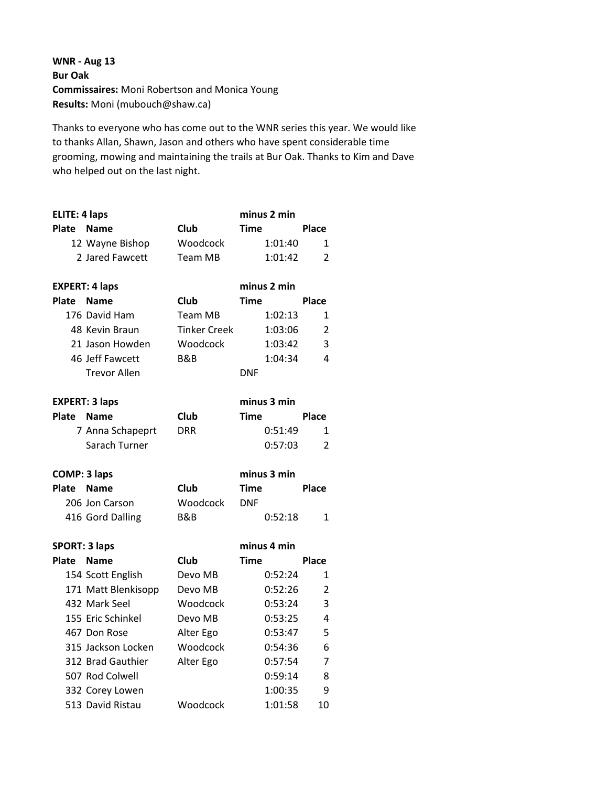**WNR ‐ Aug 13 Bur Oak Commissaires:** Moni Robertson and Monica Young **Results:** Moni (mubouch@shaw.ca)

Thanks to everyone who has come out to the WNR series this year. We would like to thanks Allan, Shawn, Jason and others who have spent considerable time grooming, mowing and maintaining the trails at Bur Oak. Thanks to Kim and Dave who helped out on the last night.

| <b>ELITE: 4 laps</b> |                       |                     | minus 2 min |                |
|----------------------|-----------------------|---------------------|-------------|----------------|
| <b>Plate</b>         | <b>Name</b>           | <b>Club</b>         | <b>Time</b> | Place          |
|                      | 12 Wayne Bishop       | Woodcock            | 1:01:40     | 1              |
|                      | 2 Jared Fawcett       | Team MB             | 1:01:42     | 2              |
|                      | <b>EXPERT: 4 laps</b> |                     | minus 2 min |                |
| Plate                | <b>Name</b>           | Club                | <b>Time</b> | Place          |
|                      | 176 David Ham         | Team MB             | 1:02:13     | 1              |
|                      | 48 Kevin Braun        | <b>Tinker Creek</b> | 1:03:06     | $\overline{2}$ |
|                      | 21 Jason Howden       | Woodcock            | 1:03:42     | 3              |
|                      | 46 Jeff Fawcett       | B&B                 | 1:04:34     | 4              |
|                      | <b>Trevor Allen</b>   |                     | <b>DNF</b>  |                |
|                      | <b>EXPERT: 3 laps</b> |                     | minus 3 min |                |
| Plate                | <b>Name</b>           | <b>Club</b>         | Time        | Place          |
|                      | 7 Anna Schapeprt      | <b>DRR</b>          | 0:51:49     | 1              |
|                      | Sarach Turner         |                     | 0:57:03     | 2              |
|                      |                       |                     |             |                |
| <b>COMP: 3 laps</b>  |                       |                     | minus 3 min |                |
| <b>Plate</b>         | <b>Name</b>           | <b>Club</b>         | Time        | Place          |
|                      | 206 Jon Carson        | Woodcock            | <b>DNF</b>  |                |
|                      | 416 Gord Dalling      | B&B                 | 0:52:18     | 1              |
| <b>SPORT: 3 laps</b> |                       |                     | minus 4 min |                |
| <b>Plate</b>         | <b>Name</b>           | Club                | Time        | Place          |
|                      | 154 Scott English     | Devo MB             | 0:52:24     | 1              |
|                      | 171 Matt Blenkisopp   | Devo MB             | 0:52:26     | 2              |
|                      | 432 Mark Seel         | Woodcock            | 0:53:24     | 3              |
|                      | 155 Eric Schinkel     | Devo MB             | 0:53:25     | 4              |
|                      | 467 Don Rose          | Alter Ego           | 0:53:47     | 5              |
|                      | 315 Jackson Locken    | Woodcock            | 0:54:36     | 6              |
|                      | 312 Brad Gauthier     | Alter Ego           | 0:57:54     | 7              |
|                      | 507 Rod Colwell       |                     | 0:59:14     | 8              |
|                      | 332 Corey Lowen       |                     | 1:00:35     | 9              |